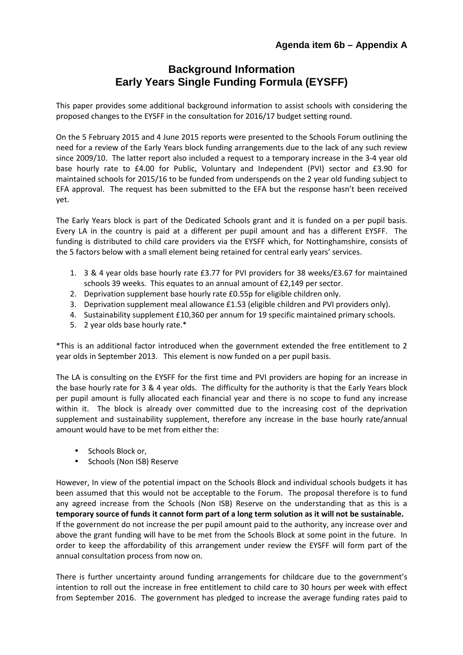## **Background Information Early Years Single Funding Formula (EYSFF)**

This paper provides some additional background information to assist schools with considering the proposed changes to the EYSFF in the consultation for 2016/17 budget setting round.

On the 5 February 2015 and 4 June 2015 reports were presented to the Schools Forum outlining the need for a review of the Early Years block funding arrangements due to the lack of any such review since 2009/10. The latter report also included a request to a temporary increase in the 3-4 year old base hourly rate to £4.00 for Public, Voluntary and Independent (PVI) sector and £3.90 for maintained schools for 2015/16 to be funded from underspends on the 2 year old funding subject to EFA approval. The request has been submitted to the EFA but the response hasn't been received yet.

The Early Years block is part of the Dedicated Schools grant and it is funded on a per pupil basis. Every LA in the country is paid at a different per pupil amount and has a different EYSFF. The funding is distributed to child care providers via the EYSFF which, for Nottinghamshire, consists of the 5 factors below with a small element being retained for central early years' services.

- 1. 3 & 4 year olds base hourly rate £3.77 for PVI providers for 38 weeks/£3.67 for maintained schools 39 weeks. This equates to an annual amount of £2,149 per sector.
- 2. Deprivation supplement base hourly rate £0.55p for eligible children only.
- 3. Deprivation supplement meal allowance £1.53 (eligible children and PVI providers only).
- 4. Sustainability supplement £10,360 per annum for 19 specific maintained primary schools.
- 5. 2 year olds base hourly rate.\*

\*This is an additional factor introduced when the government extended the free entitlement to 2 year olds in September 2013. This element is now funded on a per pupil basis.

The LA is consulting on the EYSFF for the first time and PVI providers are hoping for an increase in the base hourly rate for 3 & 4 year olds. The difficulty for the authority is that the Early Years block per pupil amount is fully allocated each financial year and there is no scope to fund any increase within it. The block is already over committed due to the increasing cost of the deprivation supplement and sustainability supplement, therefore any increase in the base hourly rate/annual amount would have to be met from either the:

- Schools Block or,
- Schools (Non ISB) Reserve

However, In view of the potential impact on the Schools Block and individual schools budgets it has been assumed that this would not be acceptable to the Forum. The proposal therefore is to fund any agreed increase from the Schools (Non ISB) Reserve on the understanding that as this is a **temporary source of funds it cannot form part of a long term solution as it will not be sustainable.** If the government do not increase the per pupil amount paid to the authority, any increase over and above the grant funding will have to be met from the Schools Block at some point in the future. In order to keep the affordability of this arrangement under review the EYSFF will form part of the annual consultation process from now on.

There is further uncertainty around funding arrangements for childcare due to the government's intention to roll out the increase in free entitlement to child care to 30 hours per week with effect from September 2016. The government has pledged to increase the average funding rates paid to